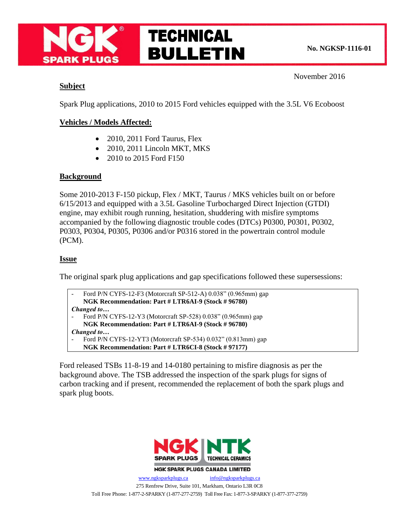

### November 2016

# **Subject**

Spark Plug applications, 2010 to 2015 Ford vehicles equipped with the 3.5L V6 Ecoboost

# **Vehicles / Models Affected:**

- 2010, 2011 Ford Taurus, Flex
- 2010, 2011 Lincoln MKT, MKS
- 2010 to 2015 Ford F150

## **Background**

Some 2010-2013 F-150 pickup, Flex / MKT, Taurus / MKS vehicles built on or before 6/15/2013 and equipped with a 3.5L Gasoline Turbocharged Direct Injection (GTDI) engine, may exhibit rough running, hesitation, shuddering with misfire symptoms accompanied by the following diagnostic trouble codes (DTCs) P0300, P0301, P0302, P0303, P0304, P0305, P0306 and/or P0316 stored in the powertrain control module (PCM).

## **Issue**

The original spark plug applications and gap specifications followed these supersessions:

Ford P/N CYFS-12-F3 (Motorcraft SP-512-A) 0.038" (0.965mm) gap **NGK Recommendation: Part # LTR6AI-9 (Stock # 96780)** *Changed to…* Ford P/N CYFS-12-Y3 (Motorcraft SP-528) 0.038" (0.965mm) gap

- **NGK Recommendation: Part # LTR6AI-9 (Stock # 96780)** *Changed to…*
- Ford P/N CYFS-12-YT3 (Motorcraft SP-534) 0.032" (0.813mm) gap
- **NGK Recommendation: Part # LTR6CI-8 (Stock # 97177)**

Ford released TSBs 11-8-19 and 14-0180 pertaining to misfire diagnosis as per the background above. The TSB addressed the inspection of the spark plugs for signs of carbon tracking and if present, recommended the replacement of both the spark plugs and spark plug boots.



**NGK SPARK PLUGS CANADA LIMITED** 

[www.ngksparkplugs.ca](http://www.ngksparkplugs.ca/) [info@ngksparkplugs.ca](mailto:info@ngksparkplugs.ca) 275 Renfrew Drive, Suite 101, Markham, Ontario L3R 0C8 Toll Free Phone: 1-877-2-SPARKY (1-877-277-2759) Toll Free Fax: 1-877-3-SPARKY (1-877-377-2759)